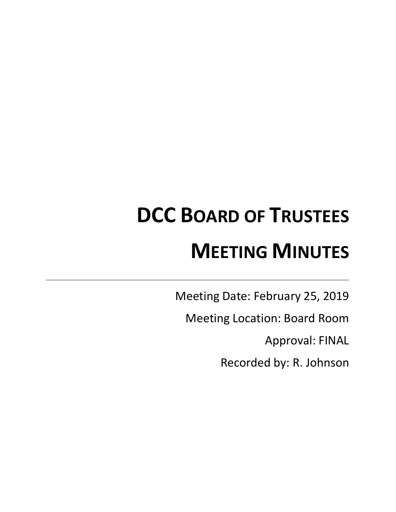# **DCC BOARD OF TRUSTEES MEETING MINUTES**

Meeting Date: February 25, 2019

Meeting Location: Board Room

Approval: FINAL

Recorded by: R. Johnson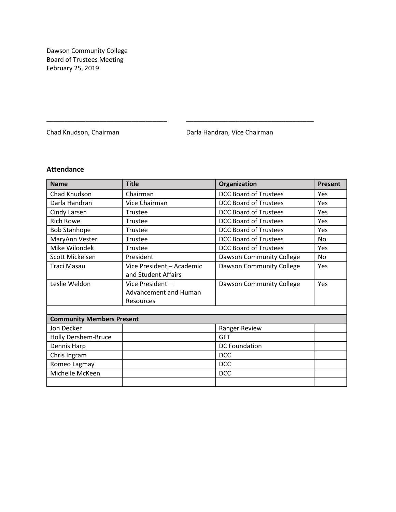Dawson Community College Board of Trustees Meeting February 25, 2019

Chad Knudson, Chairman **Darla Handran, Vice Chairman** 

## **Attendance**

| <b>Name</b>                      | <b>Title</b>              | Organization                 | <b>Present</b> |
|----------------------------------|---------------------------|------------------------------|----------------|
| Chad Knudson                     | Chairman                  | <b>DCC Board of Trustees</b> | Yes            |
| Darla Handran                    | Vice Chairman             | <b>DCC Board of Trustees</b> | Yes            |
| Cindy Larsen                     | Trustee                   | DCC Board of Trustees        | Yes            |
| <b>Rich Rowe</b>                 | Trustee                   | <b>DCC Board of Trustees</b> | Yes            |
| <b>Bob Stanhope</b>              | Trustee                   | <b>DCC Board of Trustees</b> | Yes            |
| MaryAnn Vester                   | Trustee                   | <b>DCC Board of Trustees</b> | <b>No</b>      |
| Mike Wilondek                    | Trustee                   | <b>DCC Board of Trustees</b> | Yes            |
| Scott Mickelsen                  | President                 | Dawson Community College     | <b>No</b>      |
| <b>Traci Masau</b>               | Vice President - Academic | Dawson Community College     | Yes            |
|                                  | and Student Affairs       |                              |                |
| Leslie Weldon                    | Vice President -          | Dawson Community College     | Yes            |
|                                  | Advancement and Human     |                              |                |
|                                  | <b>Resources</b>          |                              |                |
|                                  |                           |                              |                |
| <b>Community Members Present</b> |                           |                              |                |
| Jon Decker                       |                           | Ranger Review                |                |
| Holly Dershem-Bruce              |                           | <b>GFT</b>                   |                |
| Dennis Harp                      |                           | <b>DC Foundation</b>         |                |
| Chris Ingram                     |                           | <b>DCC</b>                   |                |
| Romeo Lagmay                     |                           | <b>DCC</b>                   |                |
| Michelle McKeen                  |                           | <b>DCC</b>                   |                |
|                                  |                           |                              |                |

\_\_\_\_\_\_\_\_\_\_\_\_\_\_\_\_\_\_\_\_\_\_\_\_\_\_\_\_\_\_\_\_\_\_ \_\_\_\_\_\_\_\_\_\_\_\_\_\_\_\_\_\_\_\_\_\_\_\_\_\_\_\_\_\_\_\_\_\_\_\_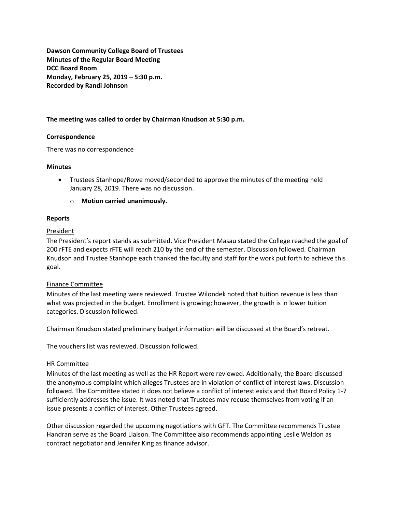**Dawson Community College Board of Trustees Minutes of the Regular Board Meeting DCC Board Room Monday, February 25, 2019 – 5:30 p.m. Recorded by Randi Johnson**

## **The meeting was called to order by Chairman Knudson at 5:30 p.m.**

#### **Correspondence**

There was no correspondence

#### **Minutes**

- Trustees Stanhope/Rowe moved/seconded to approve the minutes of the meeting held January 28, 2019. There was no discussion.
	- o **Motion carried unanimously.**

#### **Reports**

#### **President**

The President's report stands as submitted. Vice President Masau stated the College reached the goal of 200 rFTE and expects rFTE will reach 210 by the end of the semester. Discussion followed. Chairman Knudson and Trustee Stanhope each thanked the faculty and staff for the work put forth to achieve this goal.

## Finance Committee

Minutes of the last meeting were reviewed. Trustee Wilondek noted that tuition revenue is less than what was projected in the budget. Enrollment is growing; however, the growth is in lower tuition categories. Discussion followed.

Chairman Knudson stated preliminary budget information will be discussed at the Board's retreat.

The vouchers list was reviewed. Discussion followed.

#### HR Committee

Minutes of the last meeting as well as the HR Report were reviewed. Additionally, the Board discussed the anonymous complaint which alleges Trustees are in violation of conflict of interest laws. Discussion followed. The Committee stated it does not believe a conflict of interest exists and that Board Policy 1-7 sufficiently addresses the issue. It was noted that Trustees may recuse themselves from voting if an issue presents a conflict of interest. Other Trustees agreed.

Other discussion regarded the upcoming negotiations with GFT. The Committee recommends Trustee Handran serve as the Board Liaison. The Committee also recommends appointing Leslie Weldon as contract negotiator and Jennifer King as finance advisor.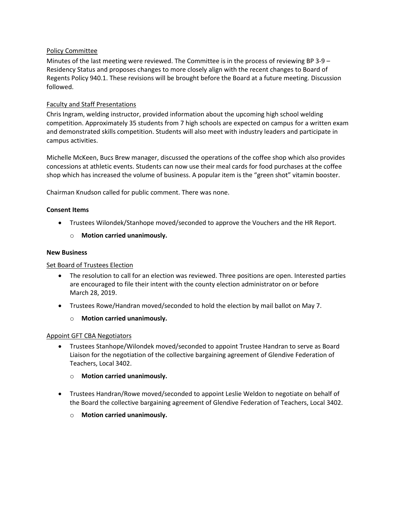## Policy Committee

Minutes of the last meeting were reviewed. The Committee is in the process of reviewing BP 3-9 – Residency Status and proposes changes to more closely align with the recent changes to Board of Regents Policy 940.1. These revisions will be brought before the Board at a future meeting. Discussion followed.

## Faculty and Staff Presentations

Chris Ingram, welding instructor, provided information about the upcoming high school welding competition. Approximately 35 students from 7 high schools are expected on campus for a written exam and demonstrated skills competition. Students will also meet with industry leaders and participate in campus activities.

Michelle McKeen, Bucs Brew manager, discussed the operations of the coffee shop which also provides concessions at athletic events. Students can now use their meal cards for food purchases at the coffee shop which has increased the volume of business. A popular item is the "green shot" vitamin booster.

Chairman Knudson called for public comment. There was none.

## **Consent Items**

- Trustees Wilondek/Stanhope moved/seconded to approve the Vouchers and the HR Report.
	- o **Motion carried unanimously.**

#### **New Business**

## Set Board of Trustees Election

- The resolution to call for an election was reviewed. Three positions are open. Interested parties are encouraged to file their intent with the county election administrator on or before March 28, 2019.
- Trustees Rowe/Handran moved/seconded to hold the election by mail ballot on May 7.
	- o **Motion carried unanimously.**

## Appoint GFT CBA Negotiators

- Trustees Stanhope/Wilondek moved/seconded to appoint Trustee Handran to serve as Board Liaison for the negotiation of the collective bargaining agreement of Glendive Federation of Teachers, Local 3402.
	- o **Motion carried unanimously.**
- Trustees Handran/Rowe moved/seconded to appoint Leslie Weldon to negotiate on behalf of the Board the collective bargaining agreement of Glendive Federation of Teachers, Local 3402.
	- o **Motion carried unanimously.**